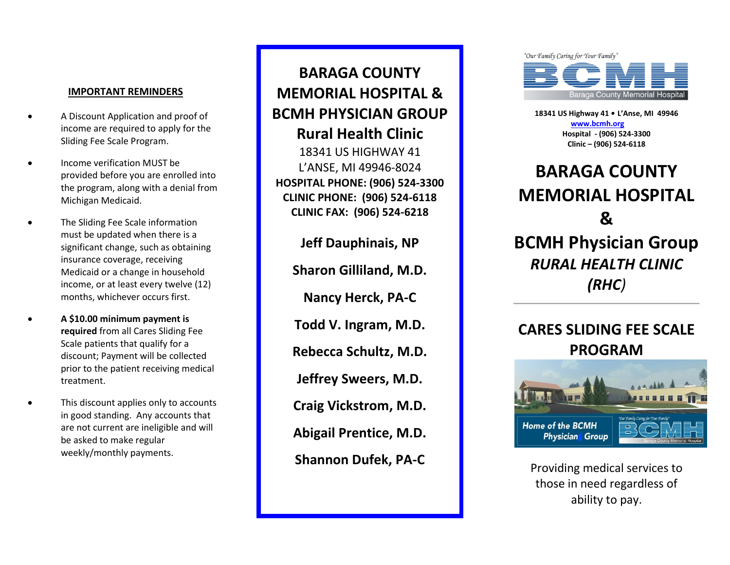## **IMPORTANT REMINDERS**

- A Discount Application and proof of income are required to apply for the Sliding Fee Scale Program.
- Income verification MUST be provided before you are enrolled into the program, along with a denial from Michigan Medicaid.
- The Sliding Fee Scale information must be updated when there is a significant change, such as obtaining insurance coverage, receiving Medicaid or a change in household income, or at least every twelve (12) months, whichever occurs first.
- **A \$10.00 minimum payment is required** from all Cares Sliding Fee Scale patients that qualify for a discount; Payment will be collected prior to the patient receiving medical treatment.
- This discount applies only to accounts in good standing. Any accounts that are not current are ineligible and will be asked to make regular weekly/monthly payments.

**BARAGA COUNTY MEMORIAL HOSPITAL & BCMH PHYSICIAN GROUP Rural Health Clinic** 18341 US HIGHWAY 41 L'ANSE, MI 49946 -8024 **HOSPITAL PHONE: (906) 524 -33 0 0 CLINIC PHONE: (906) 524 -6118 CLINIC FAX: (906) 524 -6218**

> **Jeff Dauphinais, NP Sharon Gilliland, M.D. Nancy Herck, PA - C Todd V. Ingram, M.D. Rebecca Schultz, M.D. Jeffrey Sweers, M.D. Craig Vickstrom, M.D. Abigail Prentice, M.D. Shannon Dufek, PA - C**



**18341 US Highway 41 • L'Anse, MI 49946 [www.bcmh.org](http://www.bcmh.org/) Hospital - (906) 524 -3300 Clinic – (906) 524 -6118**

# **BARAGA COUNTY MEMORIAL HOSPITAL & BCMH Physician Group** *RURAL HEALTH CLINIC (RHC)*

# **CARES SLIDING FEE SCALE PROGRAM**



Providing medical services to those in need regardless of ability to pay.